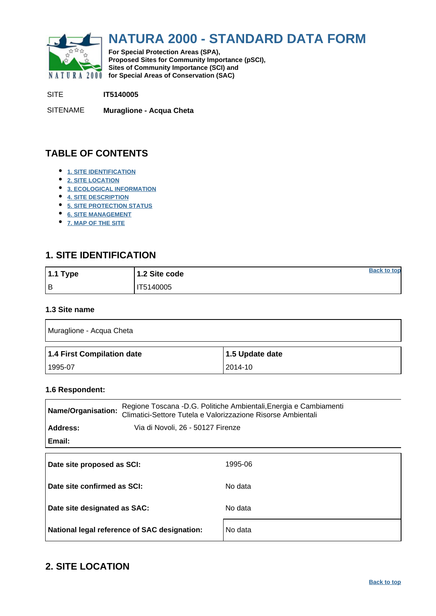<span id="page-0-0"></span>

# **NATURA 2000 - STANDARD DATA FORM**

**For Special Protection Areas (SPA), Proposed Sites for Community Importance (pSCI), Sites of Community Importance (SCI) and NATURA 2000** for Special Areas of Conservation (SAC)

SITE **IT5140005**

SITENAME **Muraglione - Acqua Cheta**

# **TABLE OF CONTENTS**

- **[1. SITE IDENTIFICATION](#page-0-1)**
- **[2. SITE LOCATION](#page-0-2)**
- **[3. ECOLOGICAL INFORMATION](#page-1-0)**
- **[4. SITE DESCRIPTION](#page-3-0)**
- **[5. SITE PROTECTION STATUS](#page-5-0)**
- **[6. SITE MANAGEMENT](#page-5-1)**
- **[7. MAP OF THE SITE](#page-5-2)**

# <span id="page-0-1"></span>**1. SITE IDENTIFICATION**

| $1.1$ Type | 1.2 Site code | <b>Back to top</b> |
|------------|---------------|--------------------|
| l B        | IT5140005     |                    |

#### **1.3 Site name**

| Muraglione - Acqua Cheta   |                 |  |  |  |  |  |
|----------------------------|-----------------|--|--|--|--|--|
| 1.4 First Compilation date | 1.5 Update date |  |  |  |  |  |
|                            |                 |  |  |  |  |  |

#### **1.6 Respondent:**

| <b>Name/Organisation:</b>    | Regione Toscana -D.G. Politiche Ambientali, Energia e Cambiamenti<br>Climatici-Settore Tutela e Valorizzazione Risorse Ambientali |         |  |  |  |  |
|------------------------------|-----------------------------------------------------------------------------------------------------------------------------------|---------|--|--|--|--|
| Address:                     | Via di Novoli, 26 - 50127 Firenze                                                                                                 |         |  |  |  |  |
| Email:                       |                                                                                                                                   |         |  |  |  |  |
| Date site proposed as SCI:   |                                                                                                                                   | 1995-06 |  |  |  |  |
| Date site confirmed as SCI:  |                                                                                                                                   | No data |  |  |  |  |
| Date site designated as SAC: |                                                                                                                                   | No data |  |  |  |  |
|                              | National legal reference of SAC designation:                                                                                      | No data |  |  |  |  |

# <span id="page-0-2"></span>**2. SITE LOCATION**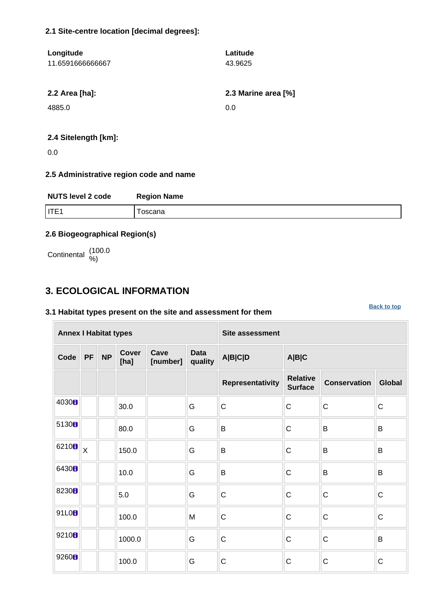#### **2.1 Site-centre location [decimal degrees]:**

| Longitude<br>11.6591666666667 | Latitude<br>43.9625 |
|-------------------------------|---------------------|
| 2.2 Area [ha]:                | 2.3 Marine area [%] |
| 4885.0                        | 0.0                 |
|                               |                     |

# **2.4 Sitelength [km]:**

0.0

#### **2.5 Administrative region code and name**

| <b>NUTS level 2 code</b> | <b>Region Name</b> |
|--------------------------|--------------------|
| liter                    | oscana             |

### **2.6 Biogeographical Region(s)**

Continental (100.0

# <span id="page-1-0"></span>**3. ECOLOGICAL INFORMATION**

#### **3.1 Habitat types present on the site and assessment for them**

**[Back to top](#page-0-0)**

| <b>Annex I Habitat types</b> |                         |           |               |                  |                        | <b>Site assessment</b> |                                   |                     |               |  |
|------------------------------|-------------------------|-----------|---------------|------------------|------------------------|------------------------|-----------------------------------|---------------------|---------------|--|
| Code                         | PF                      | <b>NP</b> | Cover<br>[ha] | Cave<br>[number] | <b>Data</b><br>quality | A B C D                | A B C                             |                     |               |  |
|                              |                         |           |               |                  |                        | Representativity       | <b>Relative</b><br><b>Surface</b> | <b>Conservation</b> | <b>Global</b> |  |
| 4030H                        |                         |           | 30.0          |                  | G                      | $\mathsf C$            | $\mathsf C$                       | $\mathsf C$         | $\mathsf C$   |  |
| 5130B                        |                         |           | 80.0          |                  | G                      | B                      | $\mathsf C$                       | B                   | B             |  |
| 6210 <sub>B</sub>            | $\overline{\mathsf{x}}$ |           | 150.0         |                  | G                      | B                      | C                                 | B                   | B             |  |
| 6430H                        |                         |           | 10.0          |                  | G                      | B                      | $\mathsf C$                       | B                   | $\sf B$       |  |
| 8230 <sub>B</sub>            |                         |           | 5.0           |                  | G                      | $\mathsf C$            | $\mathsf{C}$                      | $\mathsf C$         | $\mathsf C$   |  |
| 91L0B                        |                         |           | 100.0         |                  | M                      | $\mathsf C$            | C                                 | $\mathsf C$         | $\mathsf C$   |  |
| 9210 <sub>8</sub>            |                         |           | 1000.0        |                  | G                      | $\mathsf C$            | $\mathsf{C}$                      | $\mathsf{C}$        | B             |  |
| 9260B                        |                         |           | 100.0         |                  | G                      | $\mathsf C$            | $\mathsf C$                       | $\mathsf C$         | $\mathsf C$   |  |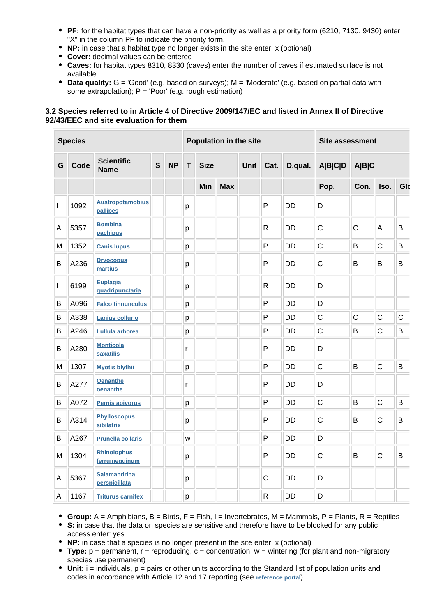- **PF:** for the habitat types that can have a non-priority as well as a priority form (6210, 7130, 9430) enter "X" in the column PF to indicate the priority form.
- **NP:** in case that a habitat type no longer exists in the site enter: x (optional)
- **Cover:** decimal values can be entered
- **Caves:** for habitat types 8310, 8330 (caves) enter the number of caves if estimated surface is not available.
- **Data quality:** G = 'Good' (e.g. based on surveys); M = 'Moderate' (e.g. based on partial data with some extrapolation);  $P = 'Poor'$  (e.g. rough estimation)

#### **3.2 Species referred to in Article 4 of Directive 2009/147/EC and listed in Annex II of Directive 92/43/EEC and site evaluation for them**

| <b>Species</b> |      |                                      |              | Population in the site |                  |     |                     | <b>Site assessment</b> |                         |                         |              |              |                |             |
|----------------|------|--------------------------------------|--------------|------------------------|------------------|-----|---------------------|------------------------|-------------------------|-------------------------|--------------|--------------|----------------|-------------|
| G              | Code | <b>Scientific</b><br><b>Name</b>     | $\mathbf{s}$ | <b>NP</b>              | T<br><b>Size</b> |     | <b>Unit</b><br>Cat. |                        | D.qual.                 | <b>A B C D</b><br>A B C |              |              |                |             |
|                |      |                                      |              |                        |                  | Min | <b>Max</b>          |                        |                         |                         | Pop.         | Con.         | Iso.           | Glo         |
| $\mathbf{I}$   | 1092 | <b>Austropotamobius</b><br>pallipes  |              |                        | p                |     |                     |                        | P                       | <b>DD</b>               | D            |              |                |             |
| A              | 5357 | <b>Bombina</b><br>pachipus           |              |                        | p                |     |                     |                        | R.                      | <b>DD</b>               | $\mathsf{C}$ | $\mathsf{C}$ | $\overline{A}$ | B           |
| M              | 1352 | <b>Canis lupus</b>                   |              |                        | p                |     |                     |                        | P                       | <b>DD</b>               | $\mathsf C$  | B            | $\mathsf C$    | B           |
| B              | A236 | <b>Dryocopus</b><br>martius          |              |                        | p                |     |                     |                        | P                       | <b>DD</b>               | $\mathsf C$  | B            | B              | B           |
| $\mathsf{I}$   | 6199 | <b>Euplagia</b><br>quadripunctaria   |              |                        | p                |     |                     |                        | R                       | <b>DD</b>               | D            |              |                |             |
| B              | A096 | <b>Falco tinnunculus</b>             |              |                        | p                |     |                     |                        | P                       | <b>DD</b>               | D            |              |                |             |
| B              | A338 | Lanius collurio                      |              |                        | p                |     |                     |                        | P                       | <b>DD</b>               | $\mathsf{C}$ | $\mathsf{C}$ | $\mathsf C$    | $\mathsf C$ |
| В              | A246 | Lullula arborea                      |              |                        | p                |     |                     |                        | P                       | <b>DD</b>               | $\mathsf C$  | B            | $\mathsf{C}$   | B           |
| B              | A280 | <b>Monticola</b><br><b>saxatilis</b> |              |                        | r                |     |                     |                        | P                       | DD                      | D            |              |                |             |
| M              | 1307 | <b>Myotis blythii</b>                |              |                        | p                |     |                     |                        | P                       | <b>DD</b>               | $\mathsf{C}$ | B            | $\mathsf{C}$   | B           |
| В              | A277 | <b>Oenanthe</b><br>oenanthe          |              |                        | r                |     |                     |                        | P                       | <b>DD</b>               | D            |              |                |             |
| B              | A072 | Pernis apivorus                      |              |                        | p                |     |                     |                        | P                       | <b>DD</b>               | $\mathsf{C}$ | B            | $\mathsf{C}$   | B           |
| B              | A314 | <b>Phylloscopus</b><br>sibilatrix    |              |                        | р                |     |                     |                        | P                       | <b>DD</b>               | $\mathsf{C}$ | B            | $\mathsf{C}$   | B           |
| B              | A267 | <b>Prunella collaris</b>             |              |                        | W                |     |                     |                        | P                       | DD                      | D            |              |                |             |
| M              | 1304 | <b>Rhinolophus</b><br>ferrumequinum  |              |                        | р                |     |                     |                        | P                       | <b>DD</b>               | $\mathsf{C}$ | B            | $\mathsf{C}$   | B           |
| A              | 5367 | <b>Salamandrina</b><br>perspicillata |              |                        | p                |     |                     |                        | $\mathsf{C}$            | <b>DD</b>               | D            |              |                |             |
| A              | 1167 | <b>Triturus carnifex</b>             |              |                        | p                |     |                     |                        | $\overline{\mathsf{R}}$ | <b>DD</b>               | D            |              |                |             |

**Group:** A = Amphibians, B = Birds, F = Fish, I = Invertebrates, M = Mammals, P = Plants, R = Reptiles

**S:** in case that the data on species are sensitive and therefore have to be blocked for any public access enter: yes

- **NP:** in case that a species is no longer present in the site enter: x (optional)
- **Type:** p = permanent, r = reproducing, c = concentration, w = wintering (for plant and non-migratory species use permanent)
- $\bullet$  Unit:  $i =$  individuals,  $p =$  pairs or other units according to the Standard list of population units and codes in accordance with Article 12 and 17 reporting (see **[reference portal](http://bd.eionet.europa.eu/activities/Natura_2000/reference_portal)**)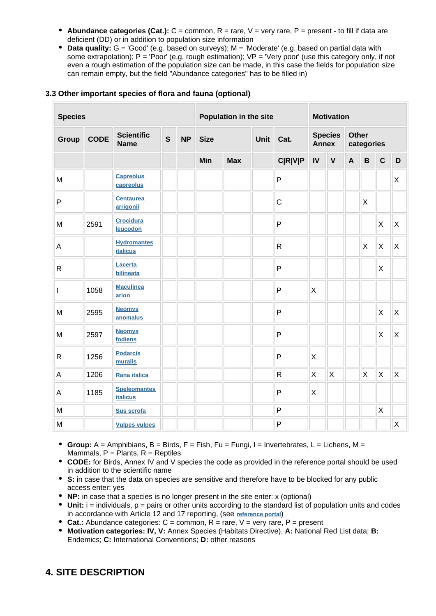- **Abundance categories (Cat.):** C = common, R = rare, V = very rare, P = present to fill if data are deficient (DD) or in addition to population size information
- **Data quality:** G = 'Good' (e.g. based on surveys); M = 'Moderate' (e.g. based on partial data with some extrapolation);  $P = Popor'$  (e.g. rough estimation);  $VP = Very$  poor' (use this category only, if not even a rough estimation of the population size can be made, in this case the fields for population size can remain empty, but the field "Abundance categories" has to be filled in)

| <b>Species</b> |             |                                        | Population in the site |           |             | <b>Motivation</b> |  |                |                                |             |                     |             |                           |   |
|----------------|-------------|----------------------------------------|------------------------|-----------|-------------|-------------------|--|----------------|--------------------------------|-------------|---------------------|-------------|---------------------------|---|
| Group          | <b>CODE</b> | <b>Scientific</b><br><b>Name</b>       | $\mathbf{s}$           | <b>NP</b> | <b>Size</b> | Unit              |  | Cat.           | <b>Species</b><br><b>Annex</b> |             | Other<br>categories |             |                           |   |
|                |             |                                        |                        |           | Min         | <b>Max</b>        |  | <b>C R V P</b> | IV                             | $\mathbf v$ | $\mathbf{A}$        | $\mathsf B$ | $\mathbf C$               | D |
| M              |             | <b>Capreolus</b><br>capreolus          |                        |           |             |                   |  | $\mathsf{P}$   |                                |             |                     |             |                           | X |
| ${\sf P}$      |             | <b>Centaurea</b><br>arrigonii          |                        |           |             |                   |  | $\mathsf{C}$   |                                |             |                     | X           |                           |   |
| M              | 2591        | <b>Crocidura</b><br>leucodon           |                        |           |             |                   |  | $\mathsf{P}$   |                                |             |                     |             | X                         | X |
| A              |             | <b>Hydromantes</b><br><b>italicus</b>  |                        |           |             |                   |  | $\mathsf{R}$   |                                |             |                     | X           | X                         | X |
| ${\sf R}$      |             | Lacerta<br>bilineata                   |                        |           |             |                   |  | $\mathsf{P}$   |                                |             |                     |             | $\boldsymbol{\mathsf{X}}$ |   |
|                | 1058        | <b>Maculinea</b><br>arion              |                        |           |             |                   |  | $\mathsf{P}$   | X                              |             |                     |             |                           |   |
| M              | 2595        | <b>Neomys</b><br>anomalus              |                        |           |             |                   |  | $\mathsf{P}$   |                                |             |                     |             | $\mathsf{X}$              | X |
| M              | 2597        | <b>Neomys</b><br>fodiens               |                        |           |             |                   |  | $\mathsf{P}$   |                                |             |                     |             | X                         | X |
| ${\sf R}$      | 1256        | <b>Podarcis</b><br>muralis             |                        |           |             |                   |  | $\mathsf{P}$   | X                              |             |                     |             |                           |   |
| $\mathsf A$    | 1206        | Rana italica                           |                        |           |             |                   |  | $\mathsf{R}$   | X                              | X           |                     | X           | X                         | Χ |
| A              | 1185        | <b>Speleomantes</b><br><b>italicus</b> |                        |           |             |                   |  | P              | X                              |             |                     |             |                           |   |
| M              |             | Sus scrofa                             |                        |           |             |                   |  | $\mathsf{P}$   |                                |             |                     |             | X                         |   |
| M              |             | <b>Vulpes vulpes</b>                   |                        |           |             |                   |  | $\mathsf{P}$   |                                |             |                     |             |                           | X |

#### **3.3 Other important species of flora and fauna (optional)**

- **Group:**  $A =$  Amphibians,  $B =$  Birds,  $F =$  Fish,  $Fu =$  Fungi,  $I =$  Invertebrates,  $L =$  Lichens,  $M =$ Mammals,  $P =$  Plants,  $R =$  Reptiles
- **CODE:** for Birds, Annex IV and V species the code as provided in the reference portal should be used in addition to the scientific name
- **S:** in case that the data on species are sensitive and therefore have to be blocked for any public access enter: yes
- **NP:** in case that a species is no longer present in the site enter: x (optional)
- $\bullet$  Unit: i = individuals,  $p =$  pairs or other units according to the standard list of population units and codes in accordance with Article 12 and 17 reporting, (see **[reference portal](http://bd.eionet.europa.eu/activities/Natura_2000/reference_portal)**)
- **Cat.:** Abundance categories: C = common, R = rare, V = very rare, P = present
- **Motivation categories: IV, V:** Annex Species (Habitats Directive), **A:** National Red List data; **B:** Endemics; **C:** International Conventions; **D:** other reasons

# <span id="page-3-0"></span>**4. SITE DESCRIPTION**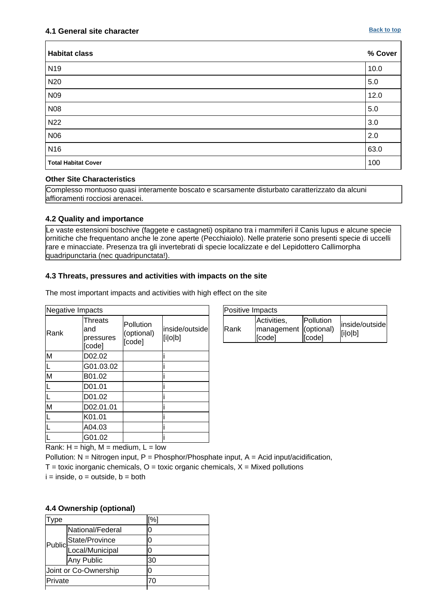| <b>Habitat class</b>       | % Cover |
|----------------------------|---------|
| N <sub>19</sub>            | 10.0    |
| N20                        | 5.0     |
| N <sub>09</sub>            | 12.0    |
| <b>N08</b>                 | 5.0     |
| <b>N22</b>                 | 3.0     |
| <b>N06</b>                 | 2.0     |
| N <sub>16</sub>            | 63.0    |
| <b>Total Habitat Cover</b> | 100     |

#### **Other Site Characteristics**

Complesso montuoso quasi interamente boscato e scarsamente disturbato caratterizzato da alcuni affioramenti rocciosi arenacei.

#### **4.2 Quality and importance**

Le vaste estensioni boschive (faggete e castagneti) ospitano tra i mammiferi il Canis lupus e alcune specie ornitiche che frequentano anche le zone aperte (Pecchiaiolo). Nelle praterie sono presenti specie di uccelli rare e minacciate. Presenza tra gli invertebrati di specie localizzate e del Lepidottero Callimorpha quadripunctaria (nec quadripunctata!).

#### **4.3 Threats, pressures and activities with impacts on the site**

The most important impacts and activities with high effect on the site

| Negative Impacts                       |                                       |                                   |                           |  |  |  |  |  |
|----------------------------------------|---------------------------------------|-----------------------------------|---------------------------|--|--|--|--|--|
| Rank                                   | Threats<br>and<br>pressures<br>[code] | Pollution<br>(optional)<br>[code] | inside/outside<br>[i o b] |  |  |  |  |  |
| M                                      | D02.02                                |                                   |                           |  |  |  |  |  |
|                                        | G01.03.02                             |                                   |                           |  |  |  |  |  |
| M                                      | B01.02                                |                                   |                           |  |  |  |  |  |
|                                        | D01.01                                |                                   |                           |  |  |  |  |  |
|                                        | D01.02                                |                                   |                           |  |  |  |  |  |
| M                                      | D02.01.01                             |                                   |                           |  |  |  |  |  |
|                                        | K01.01                                |                                   |                           |  |  |  |  |  |
|                                        | A04.03                                |                                   |                           |  |  |  |  |  |
|                                        | G01.02                                |                                   |                           |  |  |  |  |  |
| $high M = modium - L_{out}$<br>Donk: U |                                       |                                   |                           |  |  |  |  |  |

| Positive Impacts |                                                |                     |                           |  |  |  |  |  |
|------------------|------------------------------------------------|---------------------|---------------------------|--|--|--|--|--|
| <b>Rank</b>      | Activities,<br>management (optional)<br>[code] | Pollution<br>[code] | inside/outside<br>[i o b] |  |  |  |  |  |

Rank:  $H = high$ ,  $M = medium$ ,  $L = low$ 

Pollution:  $N =$  Nitrogen input, P = Phosphor/Phosphate input, A = Acid input/acidification,

 $T =$  toxic inorganic chemicals,  $O =$  toxic organic chemicals,  $X =$  Mixed pollutions

 $i =$  inside,  $o =$  outside,  $b =$  both

#### **4.4 Ownership (optional)**

| vpe     |                           | [%] |  |
|---------|---------------------------|-----|--|
|         | National/Federal          | 0   |  |
|         | State/Province            | 0   |  |
|         | Public<br>Local/Municipal | Ω   |  |
|         | Any Public                | 30  |  |
|         | Joint or Co-Ownership     | 0   |  |
| Private |                           |     |  |
|         |                           |     |  |